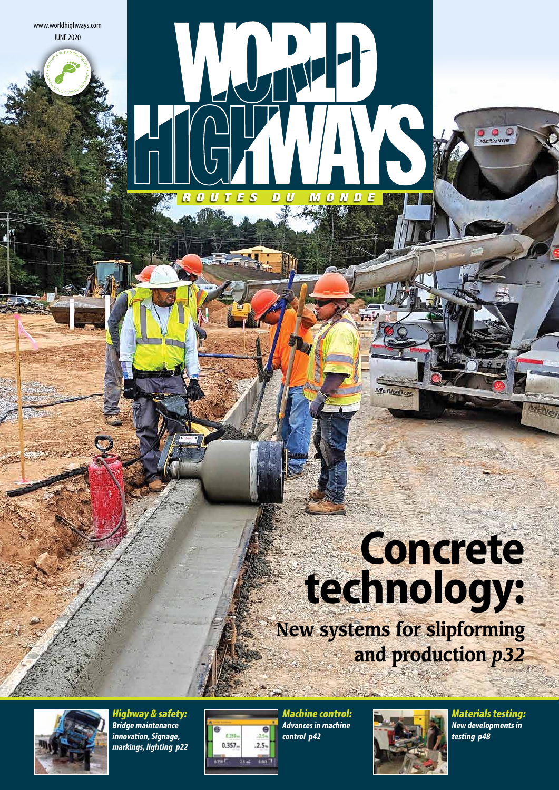JUNE 2020 www.worldhighways.com

REDUCE OUR CARBON FOOT

PRINTED RESPONSIBLE

# **Concrete technology:**

**New systems for slipforming and production** *p32*

McNeilus



Highway & safety: **Bridge maintenance innovation, Signage, markings, lighting p22**



Machine control: **Advances in machine control p42**

WUMP

 $D$   $U$ 

**MONDE** 

**ROUTES** 



Materials testing: **New developments in testing p48**

 $\frac{1}{\sqrt{2}}$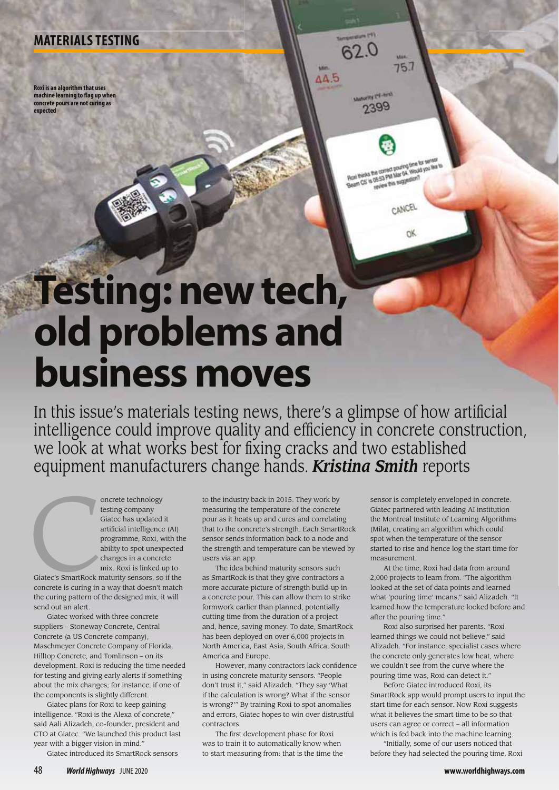### **MATERIALS TESTING**

**Roxi is an algorithm that uses machine learning to flag up when concrete pours are not curing as expected**

# **Testing: new tech, old problems and business moves**

In this issue's materials testing news, there's a glimpse of how artificial intelligence could improve quality and efficiency in concrete construction, we look at what works best for fixing cracks and two established equipment manufacturers change hands. *Kristina Smith* reports

 $62.0$ 

Manager (16-614) 2399

 $\triangle$  5

 $75.7$ 

Beart CS' is review this suggestion?<br>Road thinks the correct pouring firm for survey.<br>Beart CS' is refuse this suggestion? **Novem pite and Macouvers** 

**CANCEL** 

OK.

oncrete technology<br>
testing company<br>
Giatec has updated<br>
artificial intelligence<br>
programme, Roxi, w<br>
ability to spot unexy<br>
changes in a concrete<br>
mix. Roxi is linked u<br>
Giatec's SmartRock maturity sensors, so<br>
concrete i testing company Giatec has updated it artificial intelligence (AI) programme, Roxi, with the ability to spot unexpected changes in a concrete mix. Roxi is linked up to

Giatec's SmartRock maturity sensors, so if the concrete is curing in a way that doesn't match the curing pattern of the designed mix, it will send out an alert.

Giatec worked with three concrete suppliers – Stoneway Concrete, Central Concrete (a US Concrete company), Maschmeyer Concrete Company of Florida, Hilltop Concrete, and Tomlinson – on its development. Roxi is reducing the time needed for testing and giving early alerts if something about the mix changes; for instance, if one of the components is slightly different.

Giatec plans for Roxi to keep gaining intelligence. "Roxi is the Alexa of concrete," said Aali Alizadeh, co-founder, president and CTO at Giatec. "We launched this product last year with a bigger vision in mind."

Giatec introduced its SmartRock sensors

to the industry back in 2015. They work by measuring the temperature of the concrete pour as it heats up and cures and correlating that to the concrete's strength. Each SmartRock sensor sends information back to a node and the strength and temperature can be viewed by users via an app.

The idea behind maturity sensors such as SmartRock is that they give contractors a more accurate picture of strength build-up in a concrete pour. This can allow them to strike formwork earlier than planned, potentially cutting time from the duration of a project and, hence, saving money. To date, SmartRock has been deployed on over 6,000 projects in North America, East Asia, South Africa, South America and Europe.

However, many contractors lack confidence in using concrete maturity sensors. "People don't trust it," said Alizadeh. "They say 'What if the calculation is wrong? What if the sensor is wrong?'" By training Roxi to spot anomalies and errors, Giatec hopes to win over distrustful contractors.

The first development phase for Roxi was to train it to automatically know when to start measuring from: that is the time the

sensor is completely enveloped in concrete. Giatec partnered with leading AI institution the Montreal Institute of Learning Algorithms (Mila), creating an algorithm which could spot when the temperature of the sensor started to rise and hence log the start time for measurement.

At the time, Roxi had data from around 2,000 projects to learn from. "The algorithm looked at the set of data points and learned what 'pouring time' means," said Alizadeh. "It learned how the temperature looked before and after the pouring time.

Roxi also surprised her parents. "Roxi learned things we could not believe," said Alizadeh. "For instance, specialist cases where the concrete only generates low heat, where we couldn't see from the curve where the pouring time was, Roxi can detect it."

Before Giatec introduced Roxi, its SmartRock app would prompt users to input the start time for each sensor. Now Roxi suggests what it believes the smart time to be so that users can agree or correct – all information which is fed back into the machine learning.

"Initially, some of our users noticed that before they had selected the pouring time, Roxi